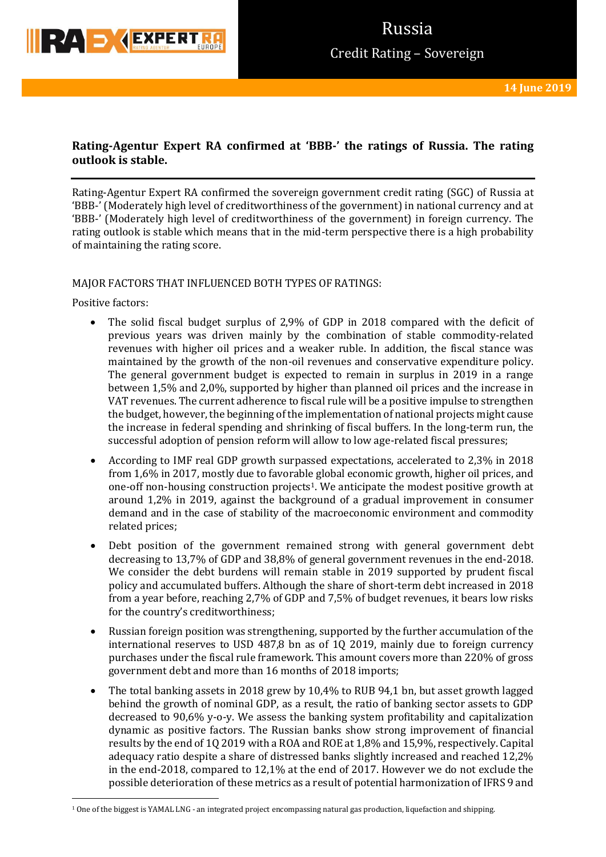

## **Rating-Agentur Expert RA confirmed at 'BBB-' the ratings of Russia. The rating outlook is stable.**

Rating-Agentur Expert RA confirmed the sovereign government credit rating (SGC) of Russia at 'BBB-' (Moderately high level of creditworthiness of the government) in national currency and at 'BBB-' (Moderately high level of creditworthiness of the government) in foreign currency. The rating outlook is stable which means that in the mid-term perspective there is a high probability of maintaining the rating score.

### MAJOR FACTORS THAT INFLUENCED BOTH TYPES OF RATINGS:

Positive factors:

**.** 

- The solid fiscal budget surplus of 2,9% of GDP in 2018 compared with the deficit of previous years was driven mainly by the combination of stable commodity-related revenues with higher oil prices and a weaker ruble. In addition, the fiscal stance was maintained by the growth of the non-oil revenues and conservative expenditure policy. The general government budget is expected to remain in surplus in 2019 in a range between 1,5% and 2,0%, supported by higher than planned oil prices and the increase in VAT revenues. The current adherence to fiscal rule will be a positive impulse to strengthen the budget, however, the beginning of the implementation of national projects might cause the increase in federal spending and shrinking of fiscal buffers. In the long-term run, the successful adoption of pension reform will allow to low age-related fiscal pressures;
- According to IMF real GDP growth surpassed expectations, accelerated to 2,3% in 2018 from 1,6% in 2017, mostly due to favorable global economic growth, higher oil prices, and one-off non-housing construction projects1. We anticipate the modest positive growth at around 1,2% in 2019, against the background of a gradual improvement in consumer demand and in the case of stability of the macroeconomic environment and commodity related prices;
- Debt position of the government remained strong with general government debt decreasing to 13,7% of GDP and 38,8% of general government revenues in the end-2018. We consider the debt burdens will remain stable in 2019 supported by prudent fiscal policy and accumulated buffers. Although the share of short-term debt increased in 2018 from a year before, reaching 2,7% of GDP and 7,5% of budget revenues, it bears low risks for the country's creditworthiness;
- Russian foreign position was strengthening, supported by the further accumulation of the international reserves to USD 487,8 bn as of 1Q 2019, mainly due to foreign currency purchases under the fiscal rule framework. This amount covers more than 220% of gross government debt and more than 16 months of 2018 imports;
- The total banking assets in 2018 grew by 10,4% to RUB 94,1 bn, but asset growth lagged behind the growth of nominal GDP, as a result, the ratio of banking sector assets to GDP decreased to 90,6% y-o-y. We assess the banking system profitability and capitalization dynamic as positive factors. The Russian banks show strong improvement of financial results by the end of 1Q 2019 with a ROA and ROE at 1,8% and 15,9%, respectively. Capital adequacy ratio despite a share of distressed banks slightly increased and reached 12,2% in the end-2018, compared to 12,1% at the end of 2017. However we do not exclude the possible deterioration of these metrics as a result of potential harmonization of IFRS 9 and

<sup>1</sup> One of the biggest is YAMAL LNG - an integrated project encompassing natural gas production, liquefaction and shipping.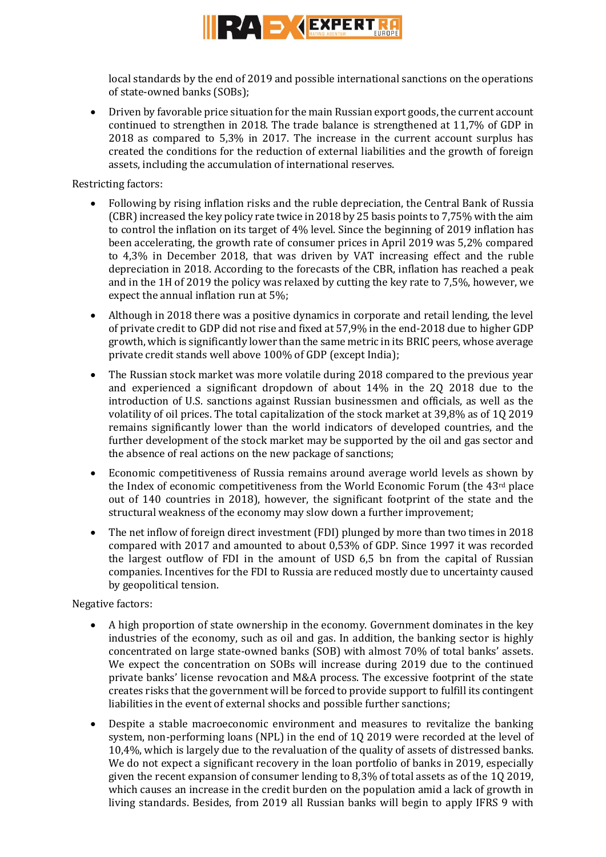

local standards by the end of 2019 and possible international sanctions on the operations of state-owned banks (SOBs);

 Driven by favorable price situation for the main Russian export goods, the current account continued to strengthen in 2018. The trade balance is strengthened at 11,7% of GDP in 2018 as compared to 5,3% in 2017. The increase in the current account surplus has created the conditions for the reduction of external liabilities and the growth of foreign assets, including the accumulation of international reserves.

Restricting factors:

- Following by rising inflation risks and the ruble depreciation, the Central Bank of Russia (CBR) increased the key policy rate twice in 2018 by 25 basis points to 7,75% with the aim to control the inflation on its target of 4% level. Since the beginning of 2019 inflation has been accelerating, the growth rate of consumer prices in April 2019 was 5,2% compared to 4,3% in December 2018, that was driven by VAT increasing effect and the ruble depreciation in 2018. According to the forecasts of the CBR, inflation has reached a peak and in the 1H of 2019 the policy was relaxed by cutting the key rate to 7,5%, however, we expect the annual inflation run at 5%;
- Although in 2018 there was a positive dynamics in corporate and retail lending, the level of private credit to GDP did not rise and fixed at 57,9% in the end-2018 due to higher GDP growth, which is significantly lower than the same metric in its BRIC peers, whose average private credit stands well above 100% of GDP (except India);
- The Russian stock market was more volatile during 2018 compared to the previous year and experienced a significant dropdown of about 14% in the 2Q 2018 due to the introduction of U.S. sanctions against Russian businessmen and officials, as well as the volatility of oil prices. The total capitalization of the stock market at 39,8% as of 1Q 2019 remains significantly lower than the world indicators of developed countries, and the further development of the stock market may be supported by the oil and gas sector and the absence of real actions on the new package of sanctions;
- Economic competitiveness of Russia remains around average world levels as shown by the Index of economic competitiveness from the World Economic Forum (the 43<sup>rd</sup> place out of 140 countries in 2018), however, the significant footprint of the state and the structural weakness of the economy may slow down a further improvement;
- The net inflow of foreign direct investment (FDI) plunged by more than two times in 2018 compared with 2017 and amounted to about 0,53% of GDP. Since 1997 it was recorded the largest outflow of FDI in the amount of USD 6,5 bn from the capital of Russian companies. Incentives for the FDI to Russia are reduced mostly due to uncertainty caused by geopolitical tension.

## Negative factors:

- A high proportion of state ownership in the economy. Government dominates in the key industries of the economy, such as oil and gas. In addition, the banking sector is highly concentrated on large state-owned banks (SOB) with almost 70% of total banks' assets. We expect the concentration on SOBs will increase during 2019 due to the continued private banks' license revocation and M&A process. The excessive footprint of the state creates risks that the government will be forced to provide support to fulfill its contingent liabilities in the event of external shocks and possible further sanctions;
- Despite a stable macroeconomic environment and measures to revitalize the banking system, non-performing loans (NPL) in the end of 1Q 2019 were recorded at the level of 10,4%, which is largely due to the revaluation of the quality of assets of distressed banks. We do not expect a significant recovery in the loan portfolio of banks in 2019, especially given the recent expansion of consumer lending to 8,3% of total assets as of the 1Q 2019, which causes an increase in the credit burden on the population amid a lack of growth in living standards. Besides, from 2019 all Russian banks will begin to apply IFRS 9 with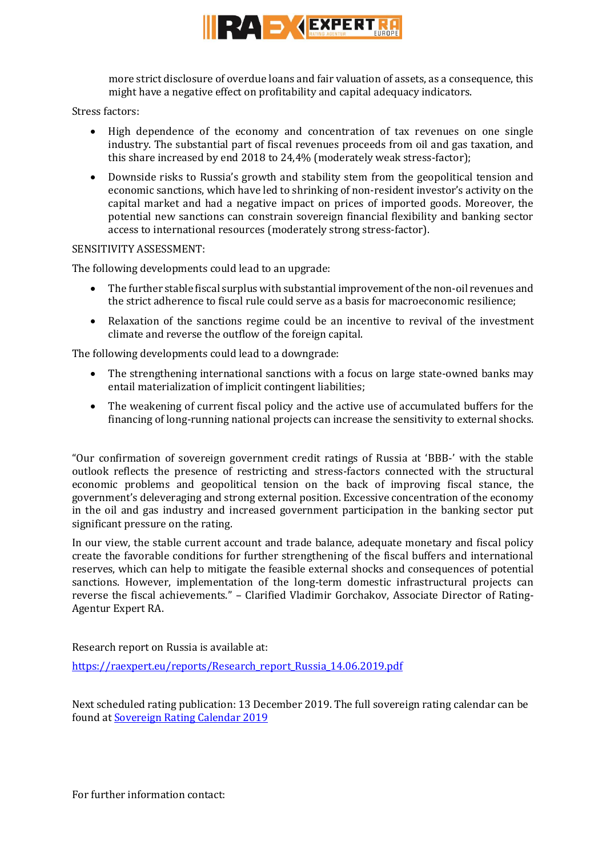

more strict disclosure of overdue loans and fair valuation of assets, as a consequence, this might have a negative effect on profitability and capital adequacy indicators.

Stress factors:

- High dependence of the economy and concentration of tax revenues on one single industry. The substantial part of fiscal revenues proceeds from oil and gas taxation, and this share increased by end 2018 to 24,4% (moderately weak stress-factor);
- Downside risks to Russia's growth and stability stem from the geopolitical tension and economic sanctions, which have led to shrinking of non-resident investor's activity on the capital market and had a negative impact on prices of imported goods. Moreover, the potential new sanctions can constrain sovereign financial flexibility and banking sector access to international resources (moderately strong stress-factor).

### SENSITIVITY ASSESSMENT:

The following developments could lead to an upgrade:

- The further stable fiscal surplus with substantial improvement of the non-oil revenues and the strict adherence to fiscal rule could serve as a basis for macroeconomic resilience;
- Relaxation of the sanctions regime could be an incentive to revival of the investment climate and reverse the outflow of the foreign capital.

The following developments could lead to a downgrade:

- The strengthening international sanctions with a focus on large state-owned banks may entail materialization of implicit contingent liabilities;
- The weakening of current fiscal policy and the active use of accumulated buffers for the financing of long-running national projects can increase the sensitivity to external shocks.

"Our confirmation of sovereign government credit ratings of Russia at 'BBB-' with the stable outlook reflects the presence of restricting and stress-factors connected with the structural economic problems and geopolitical tension on the back of improving fiscal stance, the government's deleveraging and strong external position. Excessive concentration of the economy in the oil and gas industry and increased government participation in the banking sector put significant pressure on the rating.

In our view, the stable current account and trade balance, adequate monetary and fiscal policy create the favorable conditions for further strengthening of the fiscal buffers and international reserves, which can help to mitigate the feasible external shocks and consequences of potential sanctions. However, implementation of the long-term domestic infrastructural projects can reverse the fiscal achievements." – Clarified Vladimir Gorchakov, Associate Director of Rating-Agentur Expert RA.

Research report on Russia is available at:

[https://raexpert.eu/reports/Research\\_report\\_Russia\\_14.06.2019.pdf](https://raexpert.eu/reports/Research_report_Russia_14.06.2019.pdf)

Next scheduled rating publication: 13 December 2019. The full sovereign rating calendar can be found at [Sovereign Rating Calendar 2019](https://raexpert.eu/sovereign/#conf-tab-5)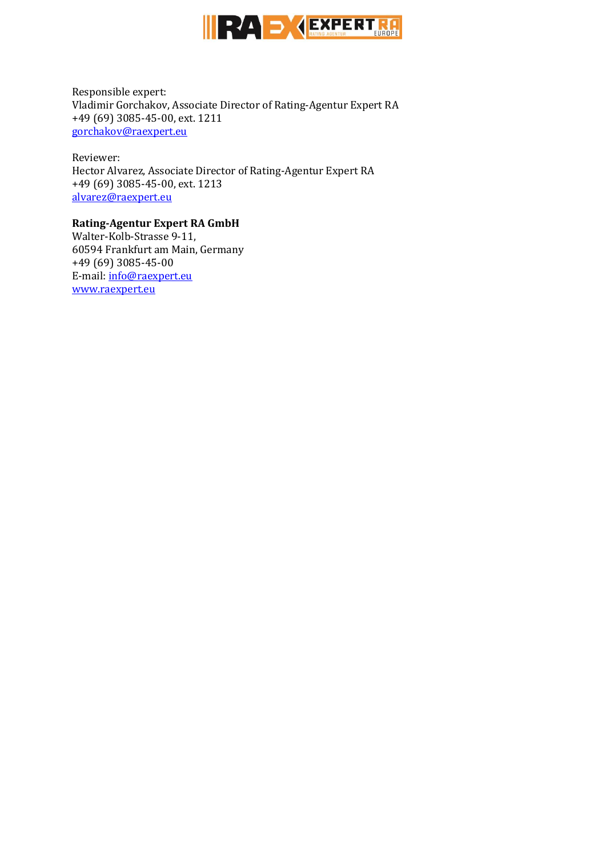

Responsible expert: Vladimir Gorchakov, Associate Director of Rating-Agentur Expert RA +49 (69) 3085-45-00, ext. 1211 [gorchakov@raexpert.eu](mailto:gorchakov@raexpert.eu)

Reviewer: Hector Alvarez, Associate Director of Rating-Agentur Expert RA +49 (69) 3085-45-00, ext. 1213 [alvarez@raexpert.eu](mailto:alvarez@raexpert.eu)

### **Rating-Agentur Expert RA GmbH**

Walter-Kolb-Strasse 9-11, 60594 Frankfurt am Main, Germany +49 (69) 3085-45-00 E-mail[: info@raexpert.eu](mailto:info@raexpert.eu) [www.raexpert.eu](http://raexpert.eu/)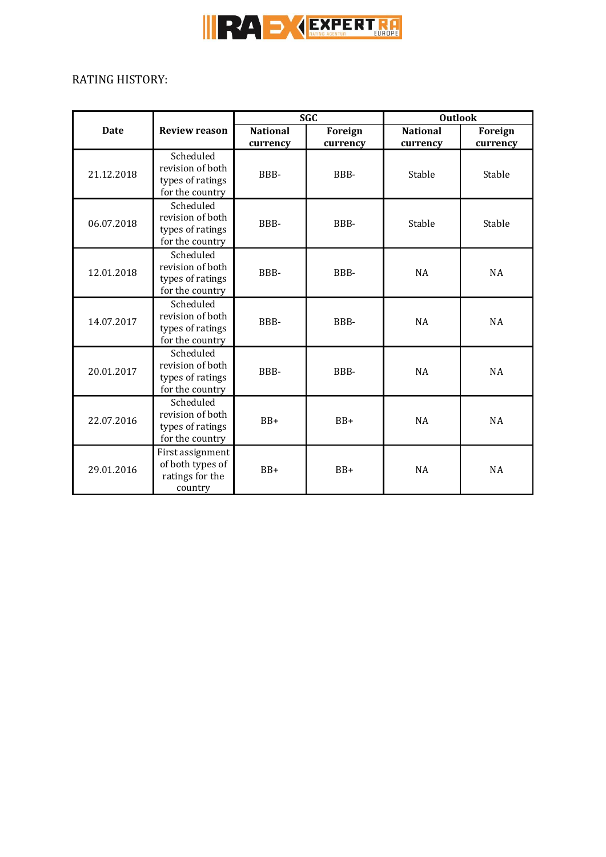

 $\overline{a}$ 

# RATING HISTORY:

|             |                                                                      | <b>SGC</b>      |          | <b>Outlook</b>  |           |
|-------------|----------------------------------------------------------------------|-----------------|----------|-----------------|-----------|
| <b>Date</b> | <b>Review reason</b>                                                 | <b>National</b> | Foreign  | <b>National</b> | Foreign   |
|             |                                                                      | currency        | currency | currency        | currency  |
| 21.12.2018  | Scheduled<br>revision of both<br>types of ratings<br>for the country | BBB-            | BBB-     | Stable          | Stable    |
| 06.07.2018  | Scheduled<br>revision of both<br>types of ratings<br>for the country | BBB-            | BBB-     | Stable          | Stable    |
| 12.01.2018  | Scheduled<br>revision of both<br>types of ratings<br>for the country | BBB-            | BBB-     | <b>NA</b>       | <b>NA</b> |
| 14.07.2017  | Scheduled<br>revision of both<br>types of ratings<br>for the country | BBB-            | BBB-     | <b>NA</b>       | <b>NA</b> |
| 20.01.2017  | Scheduled<br>revision of both<br>types of ratings<br>for the country | BBB-            | BBB-     | <b>NA</b>       | <b>NA</b> |
| 22.07.2016  | Scheduled<br>revision of both<br>types of ratings<br>for the country | $BB+$           | $BB+$    | <b>NA</b>       | <b>NA</b> |
| 29.01.2016  | First assignment<br>of both types of<br>ratings for the<br>country   | $BB+$           | $BB+$    | <b>NA</b>       | NA        |